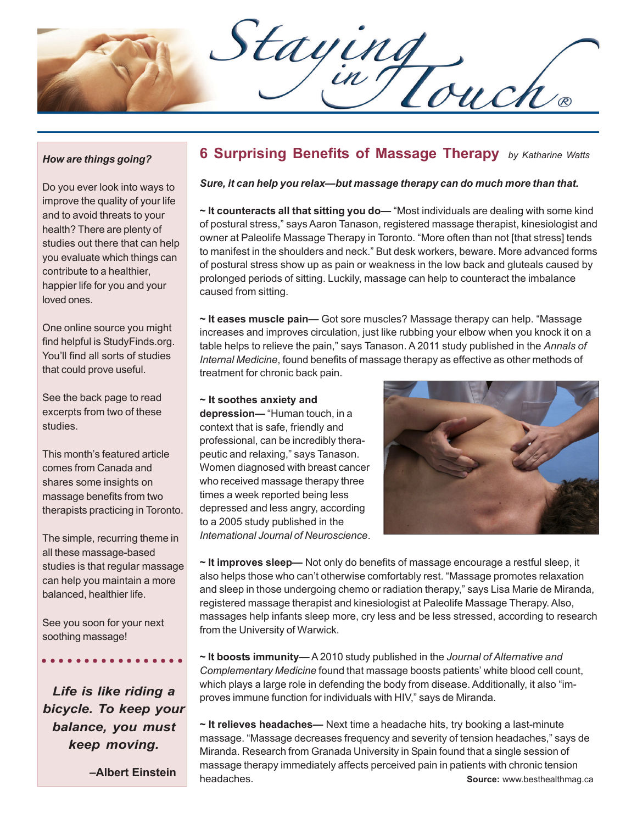Staying<br>Din Touch

### *How are things going?*

Do you ever look into ways to improve the quality of your life and to avoid threats to your health? There are plenty of studies out there that can help you evaluate which things can contribute to a healthier, happier life for you and your loved ones.

One online source you might find helpful is StudyFinds.org. You'll find all sorts of studies that could prove useful.

See the back page to read excerpts from two of these studies.

This month's featured article comes from Canada and shares some insights on massage benefits from two therapists practicing in Toronto.

The simple, recurring theme in all these massage-based studies is that regular massage can help you maintain a more balanced, healthier life.

See you soon for your next soothing massage!

*Life is like riding a bicycle. To keep your balance, you must keep moving.*

○○○○ ○○○○○○○○○○○○○

 **–Albert Einstein**

# **6 Surprising Benefits of Massage Therapy** *by Katharine Watts*

#### *Sure, it can help you relax—but massage therapy can do much more than that.*

**~ It counteracts all that sitting you do—** "Most individuals are dealing with some kind of postural stress," says Aaron Tanason, registered massage therapist, kinesiologist and owner at Paleolife Massage Therapy in Toronto. "More often than not [that stress] tends to manifest in the shoulders and neck." But desk workers, beware. More advanced forms of postural stress show up as pain or weakness in the low back and gluteals caused by prolonged periods of sitting. Luckily, massage can help to counteract the imbalance caused from sitting.

**~ It eases muscle pain—** Got sore muscles? Massage therapy can help. "Massage increases and improves circulation, just like rubbing your elbow when you knock it on a table helps to relieve the pain," says Tanason. A 2011 study published in the *Annals of Internal Medicine*, found benefits of massage therapy as effective as other methods of treatment for chronic back pain.

#### **~ It soothes anxiety and**

**depression—** "Human touch, in a context that is safe, friendly and professional, can be incredibly therapeutic and relaxing," says Tanason. Women diagnosed with breast cancer who received massage therapy three times a week reported being less depressed and less angry, according to a 2005 study published in the *International Journal of Neuroscience*.



**~ It improves sleep—** Not only do benefits of massage encourage a restful sleep, it also helps those who can't otherwise comfortably rest. "Massage promotes relaxation and sleep in those undergoing chemo or radiation therapy," says Lisa Marie de Miranda, registered massage therapist and kinesiologist at Paleolife Massage Therapy. Also, massages help infants sleep more, cry less and be less stressed, according to research from the University of Warwick.

**~ It boosts immunity—** A 2010 study published in the *Journal of Alternative and Complementary Medicine* found that massage boosts patients' white blood cell count, which plays a large role in defending the body from disease. Additionally, it also "improves immune function for individuals with HIV," says de Miranda.

**~ It relieves headaches—** Next time a headache hits, try booking a last-minute massage. "Massage decreases frequency and severity of tension headaches," says de Miranda. Research from Granada University in Spain found that a single session of massage therapy immediately affects perceived pain in patients with chronic tension headaches. **Source:** www.besthealthmag.ca